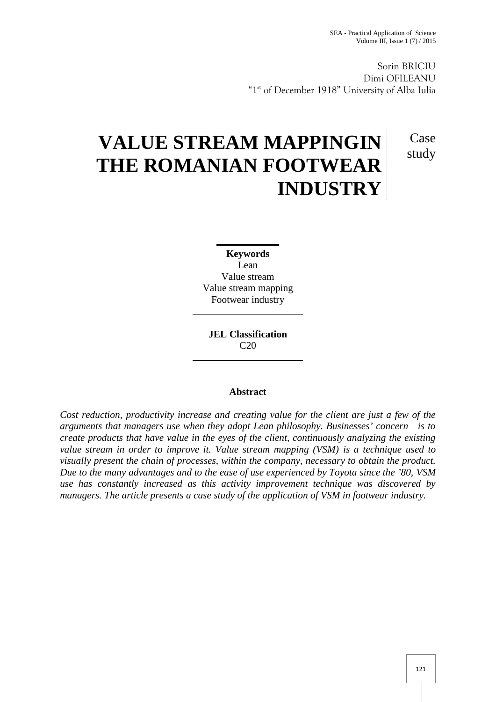Case study

Sorin BRICIU Dimi OFILEANU "1<sup>st</sup> of December 1918" University of Alba Iulia

# **VALUE STREAM MAPPINGIN THE ROMANIAN FOOTWEAR INDUSTRY**

**Keywords** Lean Value stream Value stream mapping Footwear industry

**JEL Classification** C20

## **Abstract**

*Cost reduction, productivity increase and creating value for the client are just a few of the arguments that managers use when they adopt Lean philosophy. Businesses' concern is to create products that have value in the eyes of the client, continuously analyzing the existing value stream in order to improve it. Value stream mapping (VSM) is a technique used to visually present the chain of processes, within the company, necessary to obtain the product. Due to the many advantages and to the ease of use experienced by Toyota since the '80, VSM use has constantly increased as this activity improvement technique was discovered by managers. The article presents a case study of the application of VSM in footwear industry.*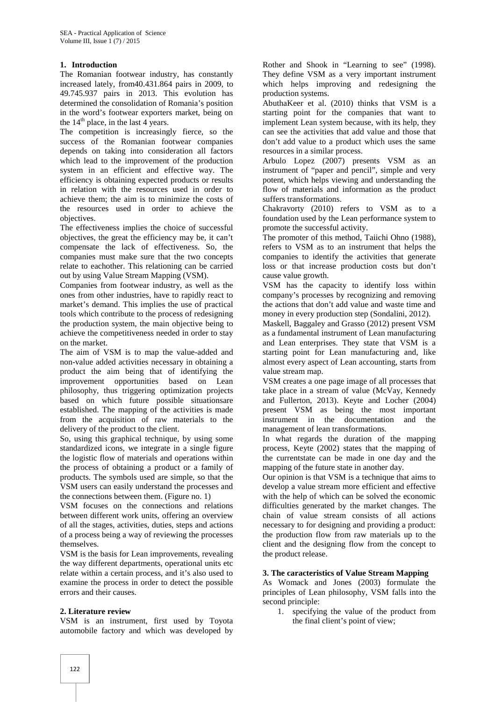### **1. Introduction**

The Romanian footwear industry, has constantly increased lately, from40.431.864 pairs in 2009, to 49.745.937 pairs in 2013. This evolution has determined the consolidation of Romania's position in the word's footwear exporters market, being on the  $14<sup>th</sup>$  place, in the last 4 years.

The competition is increasingly fierce, so the success of the Romanian footwear companies depends on taking into consideration all factors which lead to the improvement of the production system in an efficient and effective way. The efficiency is obtaining expected products or results in relation with the resources used in order to achieve them; the aim is to minimize the costs of the resources used in order to achieve the objectives.

The effectiveness implies the choice of successful objectives, the great the efficiency may be, it can't compensate the lack of effectiveness. So, the companies must make sure that the two concepts relate to eachother. This relationing can be carried out by using Value Stream Mapping (VSM).

Companies from footwear industry, as well as the ones from other industries, have to rapidly react to market's demand. This implies the use of practical tools which contribute to the process of redesigning the production system, the main objective being to achieve the competitiveness needed in order to stay on the market.

The aim of VSM is to map the value-added and non-value added activities necessary in obtaining a product the aim being that of identifying the improvement opportunities based on Lean philosophy, thus triggering optimization projects based on which future possible situationsare established. The mapping of the activities is made from the acquisition of raw materials to the delivery of the product to the client.

So, using this graphical technique, by using some standardized icons, we integrate in a single figure the logistic flow of materials and operations within the process of obtaining a product or a family of products. The symbols used are simple, so that the VSM users can easily understand the processes and the connections between them. (Figure no. 1)

VSM focuses on the connections and relations between different work units, offering an overview of all the stages, activities, duties, steps and actions of a process being a way of reviewing the processes themselves.

VSM is the basis for Lean improvements, revealing the way different departments, operational units etc relate within a certain process, and it's also used to examine the process in order to detect the possible errors and their causes.

#### **2. Literature review**

VSM is an instrument, first used by Toyota automobile factory and which was developed by

Rother and Shook in "Learning to see" (1998). They define VSM as a very important instrument which helps improving and redesigning the production systems.

AbuthaKeer et al. (2010) thinks that VSM is a starting point for the companies that want to implement Lean system because, with its help, they can see the activities that add value and those that don't add value to a product which uses the same resources in a similar process.

Arbulo Lopez (2007) presents VSM as an instrument of "paper and pencil", simple and very potent, which helps viewing and understanding the flow of materials and information as the product suffers transformations.

Chakravorty (2010) refers to VSM as to a foundation used by the Lean performance system to promote the successful activity.

The promoter of this method, Taiichi Ohno (1988), refers to VSM as to an instrument that helps the companies to identify the activities that generate loss or that increase production costs but don't cause value growth.

VSM has the capacity to identify loss within company's processes by recognizing and removing the actions that don't add value and waste time and money in every production step (Sondalini, 2012).

Maskell, Baggaley and Grasso (2012) present VSM as a fundamental instrument of Lean manufacturing and Lean enterprises. They state that VSM is a starting point for Lean manufacturing and, like almost every aspect of Lean accounting, starts from value stream map.

VSM creates a one page image of all processes that take place in a stream of value (McVay, Kennedy and Fullerton, 2013). Keyte and Locher (2004) present VSM as being the most important instrument in the documentation and the management of lean transformations.

In what regards the duration of the mapping process, Keyte (2002) states that the mapping of the currentstate can be made in one day and the mapping of the future state in another day.

Our opinion is that VSM is a technique that aims to develop a value stream more efficient and effective with the help of which can be solved the economic difficulties generated by the market changes. The chain of value stream consists of all actions necessary to for designing and providing a product: the production flow from raw materials up to the client and the designing flow from the concept to the product release.

#### **3. The caracteristics of Value Stream Mapping**

As Womack and Jones (2003) formulate the principles of Lean philosophy, VSM falls into the second principle:

1. specifying the value of the product from the final client's point of view;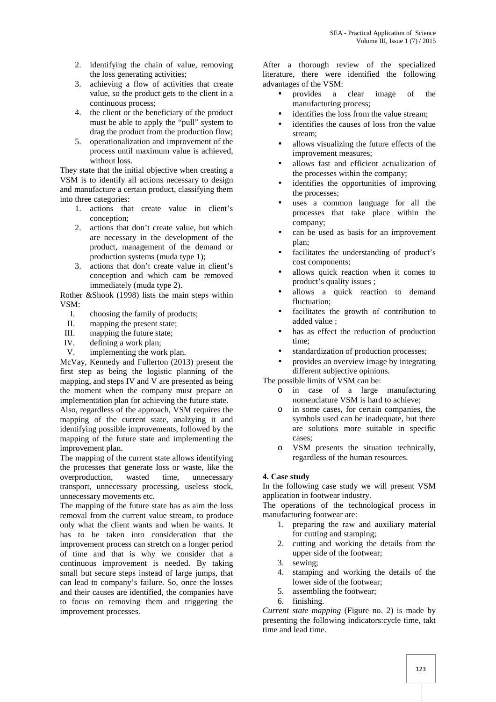- 2. identifying the chain of value, removing the loss generating activities;
- 3. achieving a flow of activities that create value, so the product gets to the client in a continuous process;
- 4. the client or the beneficiary of the product must be able to apply the "pull" system to drag the product from the production flow;
- 5. operationalization and improvement of the process until maximum value is achieved, without loss.

They state that the initial objective when creating a VSM is to identify all actions necessary to design and manufacture a certain product, classifying them into three categories:

- 1. actions that create value in client's conception;
- 2. actions that don't create value, but which are necessary in the development of the product, management of the demand or production systems (muda type 1);
- 3. actions that don't create value in client's conception and which cam be removed immediately (muda type 2).

Rother &Shook (1998) lists the main steps within VSM:

- I. choosing the family of products;
- II. mapping the present state;<br>III. mapping the future state:
- mapping the future state;
- IV. defining a work plan;
- V. implementing the work plan.

McVay, Kennedy and Fullerton (2013) present the first step as being the logistic planning of the mapping, and steps IV and V are presented as being the moment when the company must prepare an implementation plan for achieving the future state.

Also, regardless of the approach, VSM requires the mapping of the current state, analzying it and identifying possible improvements, followed by the mapping of the future state and implementing the improvement plan.

The mapping of the current state allows identifying the processes that generate loss or waste, like the overproduction, wasted time, unnecessary transport, unnecessary processing, useless stock, unnecessary movements etc.

The mapping of the future state has as aim the loss removal from the current value stream, to produce only what the client wants and when he wants. It has to be taken into consideration that the improvement process can stretch on a longer period of time and that is why we consider that a continuous improvement is needed. By taking small but secure steps instead of large jumps, that can lead to company's failure. So, once the losses and their causes are identified, the companies have to focus on removing them and triggering the improvement processes.

After a thorough review of the specialized literature, there were identified the following advantages of the VSM:

- provides a clear image of the manufacturing process;
- identifies the loss from the value stream;
- identifies the causes of loss fron the value stream;
- allows visualizing the future effects of the improvement measures;
- allows fast and efficient actualization of the processes within the company;
- identifies the opportunities of improving the processes;
- uses a common language for all the processes that take place within the company;
- can be used as basis for an improvement plan;
- facilitates the understanding of product's cost components;
- allows quick reaction when it comes to product's quality issues ;
- allows a quick reaction to demand fluctuation;
- facilitates the growth of contribution to added value ;
- has as effect the reduction of production time;
- standardization of production processes;
- provides an overview image by integrating different subjective opinions.

The possible limits of VSM can be:

- o in case of a large manufacturing nomenclature VSM is hard to achieve;
- o in some cases, for certain companies, the symbols used can be inadequate, but there are solutions more suitable in specific cases;
- o VSM presents the situation technically, regardless of the human resources.

## **4. Case study**

In the following case study we will present VSM application in footwear industry.

The operations of the technological process in manufacturing footwear are:

- 1. preparing the raw and auxiliary material for cutting and stamping;
- 2. cutting and working the details from the upper side of the footwear;
- 3. sewing;
- 4. stamping and working the details of the lower side of the footwear;
- 5. assembling the footwear;
- 6. finishing.

*Current state mapping* (Figure no. 2) is made by presenting the following indicators:cycle time, takt time and lead time.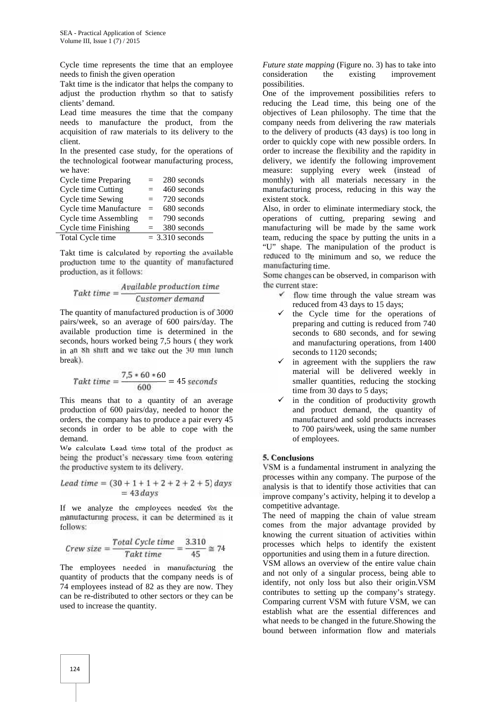Cycle time represents the time that an employee needs to finish the given operation

Takt time is the indicator that helps the company to adjust the production rhythm so that to satisfy clients' demand.

Lead time measures the time that the company needs to manufacture the product, from the acquisition of raw materials to its delivery to the client.

In the presented case study, for the operations of the technological footwear manufacturing process, we have:

| Cycle time Preparing         | $=$ | 280 seconds       |
|------------------------------|-----|-------------------|
| Cycle time Cutting           | $=$ | 460 seconds       |
| Cycle time Sewing            | $=$ | 720 seconds       |
| Cycle time Manufacture       | $=$ | 680 seconds       |
| <b>Cycle time Assembling</b> | $=$ | 790 seconds       |
| Cycle time Finishing         | $=$ | 380 seconds       |
| Total Cycle time             |     | $=$ 3.310 seconds |

Takt time is calculated by reporting the available production time to the quantity of manufactured production, as it follows:

$$
Takt\ time=\frac{Available\ production\ time}{Customer\ demand}
$$

The quantity of manufactured production is of 3000 pairs/week, so an average of 600 pairs/day. The available production time is determined in the seconds, hours worked being 7,5 hours ( they work in an 8h shift and we take out the 30 min lunch break).

$$
Takt\ time=\frac{7.5*60*60}{600}=45\ seconds
$$

This means that to a quantity of an average production of 600 pairs/day, needed to honor the orders, the company has to produce a pair every 45 seconds in order to be able to cope with the demand.

We calculate Lead time total of the product as being the product's necessary time from entering the productive system to its delivery.

$$
Lead time = (30 + 1 + 1 + 2 + 2 + 2 + 5) days
$$
  
= 43 days

If we analyze the employees needed for the manufacturing process, it can be determined as it follows:

$$
Crew size = \frac{Total\ Cycle\ time}{Takt\ time} = \frac{3.310}{45} \cong 74
$$

The employees needed in manufacturing the quantity of products that the company needs is of 74 employees instead of 82 as they are now. They can be re-distributed to other sectors or they can be used to increase the quantity.

*Future state mapping* (Figure no. 3) has to take into consideration the existing improvement possibilities.

One of the improvement possibilities refers to reducing the Lead time, this being one of the objectives of Lean philosophy. The time that the company needs from delivering the raw materials to the delivery of products (43 days) is too long in order to quickly cope with new possible orders. In order to increase the flexibility and the rapidity in delivery, we identify the following improvement measure: supplying every week (instead of monthly) with all materials necessary in the manufacturing process, reducing in this way the existent stock.

Also, in order to eliminate intermediary stock, the operations of cutting, preparing sewing and manufacturing will be made by the same work team, reducing the space by putting the units in a "U" shape. The manipulation of the product is reduced to the minimum and so, we reduce the manufacturing time.

Some changes can be observed, in comparison with the current state:

- $\checkmark$  flow time through the value stream was reduced from 43 days to 15 days;
- $\checkmark$  the Cycle time for the operations of preparing and cutting is reduced from 740 seconds to 680 seconds, and for sewing and manufacturing operations, from 1400 seconds to 1120 seconds;
- $\checkmark$  in agreement with the suppliers the raw material will be delivered weekly in smaller quantities, reducing the stocking time from 30 days to 5 days;
- in the condition of productivity growth and product demand, the quantity of manufactured and sold products increases to 700 pairs/week, using the same number of employees.

#### **5. Conclusions**

VSM is a fundamental instrument in analyzing the processes within any company. The purpose of the analysis is that to identify those activities that can improve company's activity, helping it to develop a competitive advantage.

The need of mapping the chain of value stream comes from the major advantage provided by knowing the current situation of activities within processes which helps to identify the existent opportunities and using them in a future direction.

VSM allows an overview of the entire value chain and not only of a singular process, being able to identify, not only loss but also their origin.VSM contributes to setting up the company's strategy. Comparing current VSM with future VSM, we can establish what are the essential differences and what needs to be changed in the future.Showing the bound between information flow and materials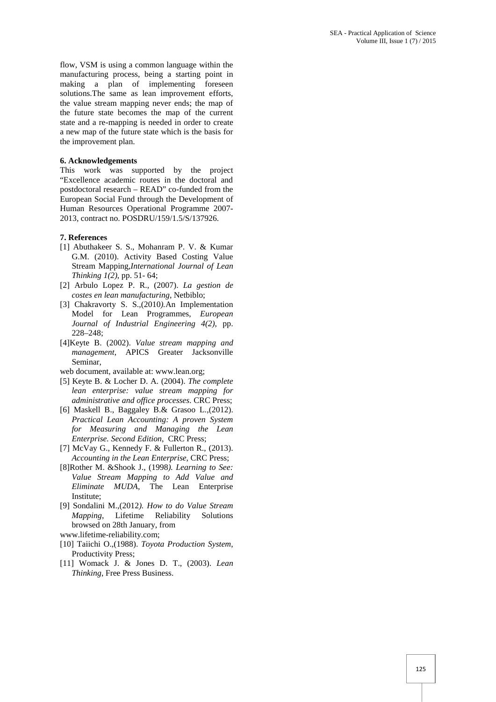flow, VSM is using a common language within the manufacturing process, being a starting point in making a plan of implementing foreseen solutions.The same as lean improvement efforts, the value stream mapping never ends; the map of the future state becomes the map of the current state and a re-mapping is needed in order to create a new map of the future state which is the basis for the improvement plan.

#### **6. Acknowledgements**

This work was supported by the project "Excellence academic routes in the doctoral and postdoctoral research – READ" co-funded from the European Social Fund through the Development of Human Resources Operational Programme 2007- 2013, contract no. POSDRU/159/1.5/S/137926.

#### **7. References**

- [1] Abuthakeer S. S., Mohanram P. V. & Kumar G.M. (2010). Activity Based Costing Value Stream Mapping,*International Journal of Lean Thinking 1(2)*, pp. 51- 64;
- [2] Arbulo Lopez P. R., (2007). *La gestion de costes en lean manufacturing*, Netbiblo;
- [3] Chakravorty S. S.,(2010*).*An Implementation Model for Lean Programmes, *European Journal of Industrial Engineering 4(2)*, pp. 228–248;
- [4]Keyte B. (2002). *Value stream mapping and management*, APICS Greater Jacksonville Seminar,

web document, available at: www.lean.org;

- [5] Keyte B. & Locher D. A. (2004). *The complete lean enterprise: value stream mapping for administrative and office processes*. CRC Press;
- [6] Maskell B., Baggaley B.& Grasoo L.,(2012). *Practical Lean Accounting: A proven System for Measuring and Managing the Lean Enterprise. Second Edition*, CRC Press;
- [7] McVay G., Kennedy F. & Fullerton R., (2013). *Accounting in the Lean Enterprise*, CRC Press;
- [8]Rother M. &Shook J., (1998*). Learning to See: Value Stream Mapping to Add Value and Eliminate MUDA*, The Lean Enterprise Institute;
- [9] Sondalini M.,(2012*). How to do Value Stream Mapping*, Lifetime Reliability Solutions browsed on 28th January, from
- www.lifetime-reliability.com;
- [10] Taiichi O.,(1988). *Toyota Production System*, Productivity Press;
- [11] Womack J. & Jones D. T., (2003). *Lean Thinking*, Free Press Business.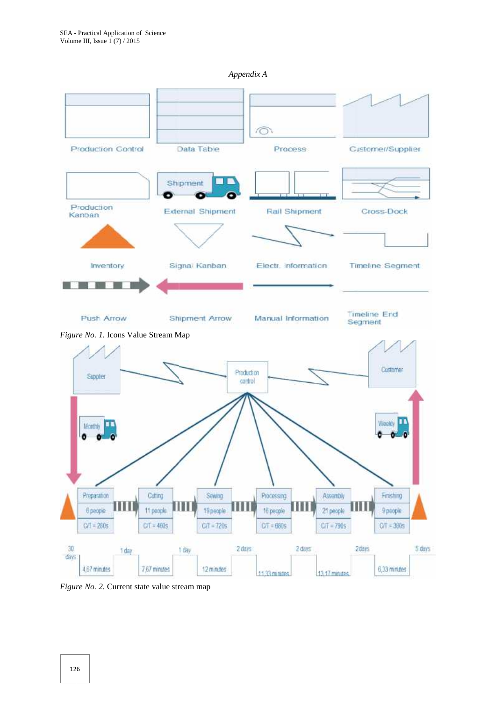*Appendix A Appendix* 



*Figure No. 2.* Current state value stream map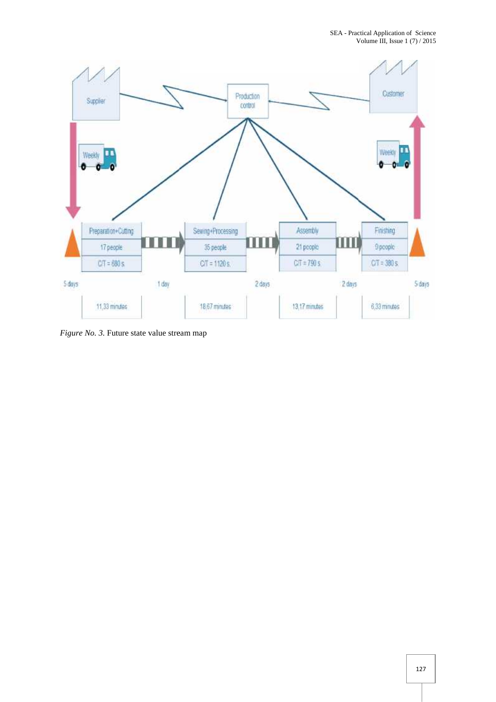

*Figure No. 3.* Future state value stream map 127*No. 3.*